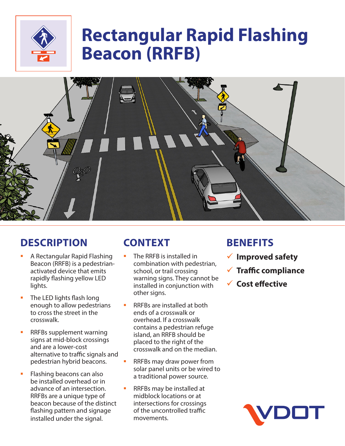# **Rectangular Rapid Flashing Beacon (RRFB)**



### **DESCRIPTION**

- A Rectangular Rapid Flashing Beacon (RRFB) is a pedestrianactivated device that emits rapidly flashing yellow LED lights.
- **The LED lights flash long** enough to allow pedestrians to cross the street in the crosswalk.
- RRFBs supplement warning signs at mid-block crossings and are a lower-cost alternative to traffic signals and pedestrian hybrid beacons.
- Flashing beacons can also be installed overhead or in advance of an intersection. RRFBs are a unique type of beacon because of the distinct flashing pattern and signage installed under the signal.

## **CONTEXT**

- The RRFB is installed in combination with pedestrian, school, or trail crossing warning signs. They cannot be installed in conjunction with other signs.
- RRFBs are installed at both ends of a crosswalk or overhead. If a crosswalk contains a pedestrian refuge island, an RRFB should be placed to the right of the crosswalk and on the median.
- RRFBs may draw power from solar panel units or be wired to a traditional power source.
- RRFBs may be installed at midblock locations or at intersections for crossings of the uncontrolled traffic movements.

#### **BENEFITS**

- 9 **Improved safety**
- 9 **Traffic compliance**
- 9 **Cost effective**